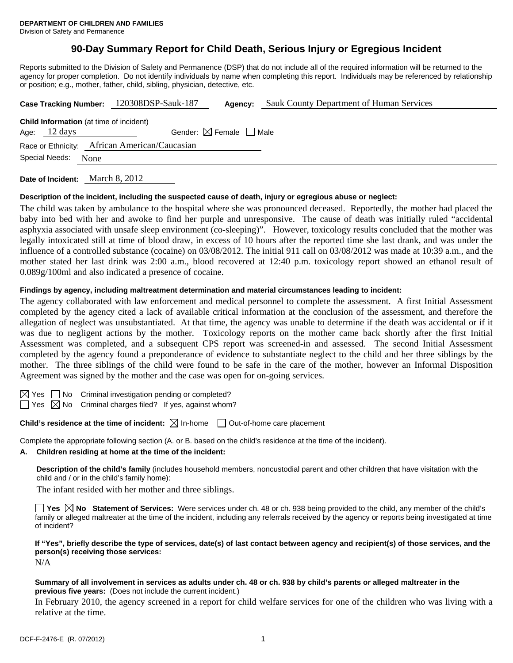## **90-Day Summary Report for Child Death, Serious Injury or Egregious Incident**

Reports submitted to the Division of Safety and Permanence (DSP) that do not include all of the required information will be returned to the agency for proper completion. Do not identify individuals by name when completing this report. Individuals may be referenced by relationship or position; e.g., mother, father, child, sibling, physician, detective, etc.

| Case Tracking Number: 120308DSP-Sauk-187                                 |                                        | Agency: | <b>Sauk County Department of Human Services</b> |
|--------------------------------------------------------------------------|----------------------------------------|---------|-------------------------------------------------|
| <b>Child Information</b> (at time of incident)<br>Age: $12 \text{ days}$ | Gender: $\boxtimes$ Female $\Box$ Male |         |                                                 |
| Race or Ethnicity: African American/Caucasian<br>Special Needs:<br>None  |                                        |         |                                                 |
|                                                                          |                                        |         |                                                 |

**Date of Incident:** March 8, 2012

#### **Description of the incident, including the suspected cause of death, injury or egregious abuse or neglect:**

The child was taken by ambulance to the hospital where she was pronounced deceased. Reportedly, the mother had placed the baby into bed with her and awoke to find her purple and unresponsive. The cause of death was initially ruled "accidental asphyxia associated with unsafe sleep environment (co-sleeping)". However, toxicology results concluded that the mother was legally intoxicated still at time of blood draw, in excess of 10 hours after the reported time she last drank, and was under the influence of a controlled substance (cocaine) on 03/08/2012. The initial 911 call on 03/08/2012 was made at 10:39 a.m., and the mother stated her last drink was 2:00 a.m., blood recovered at 12:40 p.m. toxicology report showed an ethanol result of 0.089g/100ml and also indicated a presence of cocaine.

### **Findings by agency, including maltreatment determination and material circumstances leading to incident:**

The agency collaborated with law enforcement and medical personnel to complete the assessment. A first Initial Assessment completed by the agency cited a lack of available critical information at the conclusion of the assessment, and therefore the allegation of neglect was unsubstantiated. At that time, the agency was unable to determine if the death was accidental or if it was due to negligent actions by the mother. Toxicology reports on the mother came back shortly after the first Initial Assessment was completed, and a subsequent CPS report was screened-in and assessed. The second Initial Assessment completed by the agency found a preponderance of evidence to substantiate neglect to the child and her three siblings by the mother. The three siblings of the child were found to be safe in the care of the mother, however an Informal Disposition Agreement was signed by the mother and the case was open for on-going services.

No Criminal investigation pending or completed?

Yes  $\boxtimes$  No Criminal charges filed? If yes, against whom?

**Child's residence at the time of incident:** ⊠ In-home □ Out-of-home care placement

Complete the appropriate following section (A. or B. based on the child's residence at the time of the incident).

#### **A. Children residing at home at the time of the incident:**

**Description of the child's family** (includes household members, noncustodial parent and other children that have visitation with the child and / or in the child's family home):

The infant resided with her mother and three siblings.

**Yes No Statement of Services:** Were services under ch. 48 or ch. 938 being provided to the child, any member of the child's family or alleged maltreater at the time of the incident, including any referrals received by the agency or reports being investigated at time of incident?

**If "Yes", briefly describe the type of services, date(s) of last contact between agency and recipient(s) of those services, and the person(s) receiving those services:** 

N/A

#### **Summary of all involvement in services as adults under ch. 48 or ch. 938 by child's parents or alleged maltreater in the previous five years:** (Does not include the current incident.)

In February 2010, the agency screened in a report for child welfare services for one of the children who was living with a relative at the time.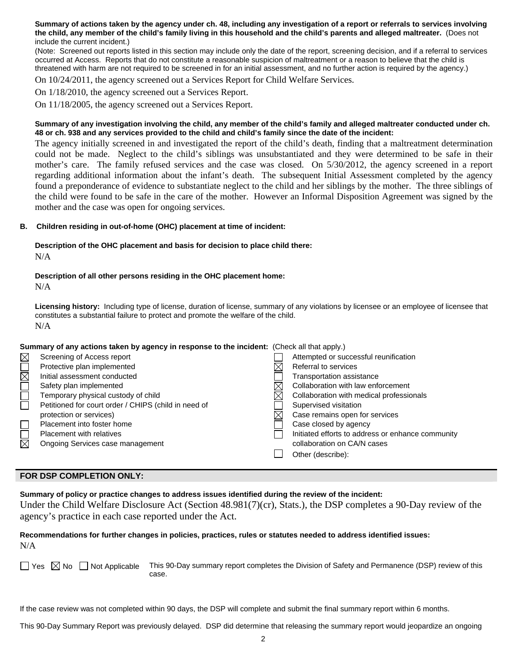**Summary of actions taken by the agency under ch. 48, including any investigation of a report or referrals to services involving the child, any member of the child's family living in this household and the child's parents and alleged maltreater.** (Does not include the current incident.)

(Note: Screened out reports listed in this section may include only the date of the report, screening decision, and if a referral to services occurred at Access. Reports that do not constitute a reasonable suspicion of maltreatment or a reason to believe that the child is threatened with harm are not required to be screened in for an initial assessment, and no further action is required by the agency.)

On 10/24/2011, the agency screened out a Services Report for Child Welfare Services.

On 1/18/2010, the agency screened out a Services Report.

On 11/18/2005, the agency screened out a Services Report.

#### **Summary of any investigation involving the child, any member of the child's family and alleged maltreater conducted under ch. 48 or ch. 938 and any services provided to the child and child's family since the date of the incident:**

The agency initially screened in and investigated the report of the child's death, finding that a maltreatment determination could not be made. Neglect to the child's siblings was unsubstantiated and they were determined to be safe in their mother's care. The family refused services and the case was closed. On 5/30/2012, the agency screened in a report regarding additional information about the infant's death. The subsequent Initial Assessment completed by the agency found a preponderance of evidence to substantiate neglect to the child and her siblings by the mother. The three siblings of the child were found to be safe in the care of the mother. However an Informal Disposition Agreement was signed by the mother and the case was open for ongoing services.

#### **B. Children residing in out-of-home (OHC) placement at time of incident:**

# **Description of the OHC placement and basis for decision to place child there:**

N/A

## **Description of all other persons residing in the OHC placement home:**

N/A

**Licensing history:** Including type of license, duration of license, summary of any violations by licensee or an employee of licensee that constitutes a substantial failure to protect and promote the welfare of the child. N/A

#### **Summary of any actions taken by agency in response to the incident:** (Check all that apply.)

| $\boxtimes$            | Screening of Access report                           | Attempted or successful reunification             |
|------------------------|------------------------------------------------------|---------------------------------------------------|
| $\mathop{{\boxtimes}}$ | Protective plan implemented                          | Referral to services                              |
|                        | Initial assessment conducted                         | Transportation assistance                         |
|                        | Safety plan implemented                              | Collaboration with law enforcement                |
|                        | Temporary physical custody of child                  | Collaboration with medical professionals          |
|                        | Petitioned for court order / CHIPS (child in need of | Supervised visitation                             |
|                        | protection or services)                              | Case remains open for services                    |
|                        | Placement into foster home                           | Case closed by agency                             |
|                        | <b>Placement with relatives</b>                      | Initiated efforts to address or enhance community |
| $\overline{\boxtimes}$ | Ongoing Services case management                     | collaboration on CA/N cases                       |
|                        |                                                      | Other (describe):                                 |
|                        |                                                      |                                                   |

## **FOR DSP COMPLETION ONLY:**

**Summary of policy or practice changes to address issues identified during the review of the incident:**  Under the Child Welfare Disclosure Act (Section 48.981(7)(cr), Stats.), the DSP completes a 90-Day review of the agency's practice in each case reported under the Act.

### **Recommendations for further changes in policies, practices, rules or statutes needed to address identified issues:** N/A

 $\Box$  Yes  $\Box$  No  $\Box$  Not Applicable This 90-Day summary report completes the Division of Safety and Permanence (DSP) review of this case.

If the case review was not completed within 90 days, the DSP will complete and submit the final summary report within 6 months.

This 90-Day Summary Report was previously delayed. DSP did determine that releasing the summary report would jeopardize an ongoing